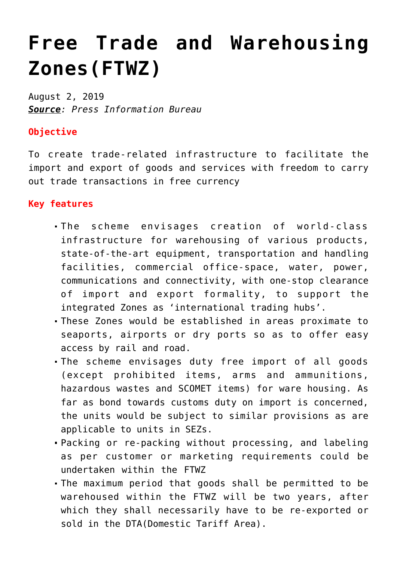## **[Free Trade and Warehousing](https://journalsofindia.com/free-trade-and-warehousing-zonesftwz/) [Zones\(FTWZ\)](https://journalsofindia.com/free-trade-and-warehousing-zonesftwz/)**

August 2, 2019 *Source: Press Information Bureau*

## **Objective**

To create trade-related infrastructure to facilitate the import and export of goods and services with freedom to carry out trade transactions in free currency

## **Key features**

- The scheme envisages creation of world-class infrastructure for warehousing of various products, state-of-the-art equipment, transportation and handling facilities, commercial office-space, water, power, communications and connectivity, with one-stop clearance of import and export formality, to support the integrated Zones as 'international trading hubs'.
- These Zones would be established in areas proximate to seaports, airports or dry ports so as to offer easy access by rail and road.
- The scheme envisages duty free import of all goods (except prohibited items, arms and ammunitions, hazardous wastes and SCOMET items) for ware housing. As far as bond towards customs duty on import is concerned, the units would be subject to similar provisions as are applicable to units in SEZs.
- Packing or re-packing without processing, and labeling as per customer or marketing requirements could be undertaken within the FTWZ
- The maximum period that goods shall be permitted to be warehoused within the FTWZ will be two years, after which they shall necessarily have to be re-exported or sold in the DTA(Domestic Tariff Area).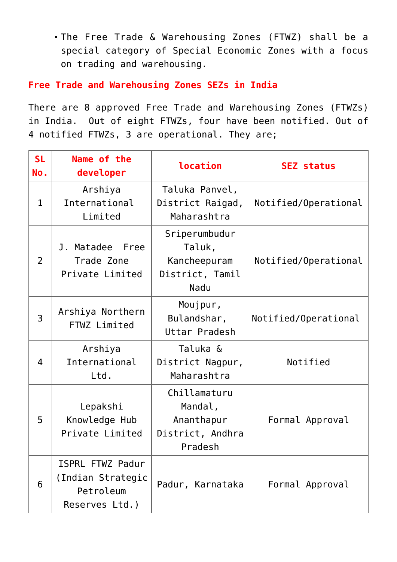The Free Trade & Warehousing Zones (FTWZ) shall be a special category of Special Economic Zones with a focus on trading and warehousing.

## **Free Trade and Warehousing Zones SEZs in India**

There are 8 approved Free Trade and Warehousing Zones (FTWZs) in India. Out of eight FTWZs, four have been notified. Out of 4 notified FTWZs, 3 are operational. They are;

| <b>SL</b><br>No. | Name of the<br>developer                                             | location                                                             | <b>SEZ status</b>    |
|------------------|----------------------------------------------------------------------|----------------------------------------------------------------------|----------------------|
| $\mathbf 1$      | Arshiya<br>International<br>Limited                                  | Taluka Panvel,<br>District Raigad,<br>Maharashtra                    | Notified/Operational |
| 2                | J. Matadee<br>Free<br>Trade Zone<br>Private Limited                  | Sriperumbudur<br>Taluk,<br>Kancheepuram<br>District, Tamil<br>Nadu   | Notified/Operational |
| 3                | Arshiya Northern<br>FTWZ Limited                                     | Moujpur,<br>Bulandshar,<br>Uttar Pradesh                             | Notified/Operational |
| 4                | Arshiya<br>International<br>Ltd.                                     | Taluka &<br>District Nagpur,<br>Maharashtra                          | Notified             |
| 5                | Lepakshi<br>Knowledge Hub<br>Private Limited                         | Chillamaturu<br>Mandal,<br>Ananthapur<br>District, Andhra<br>Pradesh | Formal Approval      |
| 6                | ISPRL FTWZ Padur<br>(Indian Strategic<br>Petroleum<br>Reserves Ltd.) | Padur, Karnataka                                                     | Formal Approval      |